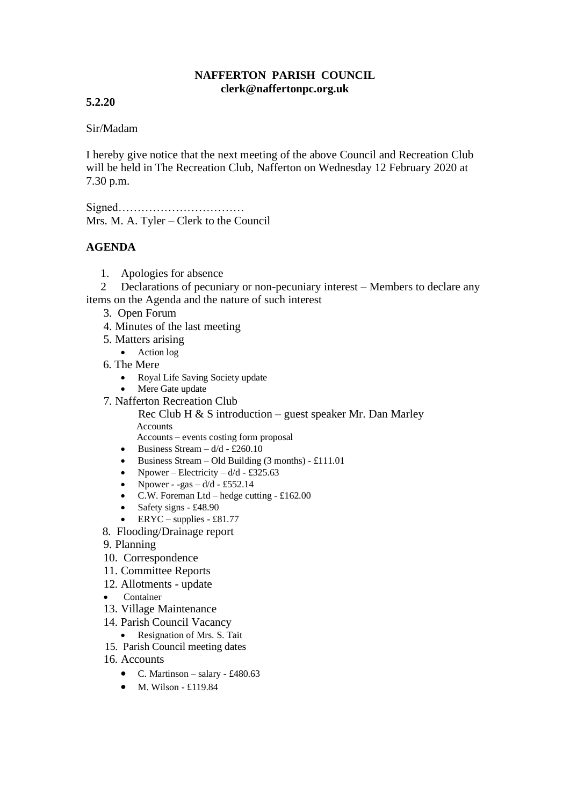## **NAFFERTON PARISH COUNCIL clerk@naffertonpc.org.uk**

## **5.2.20**

## Sir/Madam

I hereby give notice that the next meeting of the above Council and Recreation Club will be held in The Recreation Club, Nafferton on Wednesday 12 February 2020 at 7.30 p.m.

Signed…………………………… Mrs. M. A. Tyler – Clerk to the Council

## **AGENDA**

1. Apologies for absence

 2 Declarations of pecuniary or non-pecuniary interest – Members to declare any items on the Agenda and the nature of such interest

- 3. Open Forum
- 4. Minutes of the last meeting
- 5. Matters arising
	- Action log
- 6. The Mere
	- Royal Life Saving Society update
	- Mere Gate update
- 7. Nafferton Recreation Club

Rec Club H  $\&$  S introduction – guest speaker Mr. Dan Marley **Accounts** 

Accounts – events costing form proposal

- Business Stream  $d/d \pounds 260.10$
- Business Stream Old Building  $(3 \text{ months}) \pounds 111.01$
- Npower Electricity  $d/d$  £325.63
- Npower -gas  $d/d$  £552.14
- C.W. Foreman Ltd hedge cutting  $-£162.00$
- Safety signs £48.90
- $ERYC supplies £81.77$
- 8. Flooding/Drainage report
- 9. Planning
- 10. Correspondence
- 11. Committee Reports
- 12. Allotments update
- Container
- 13. Village Maintenance
- 14. Parish Council Vacancy
- Resignation of Mrs. S. Tait
- 15. Parish Council meeting dates
- 16. Accounts
	- C. Martinson salary £480.63
	- $\bullet$  M. Wilson £119.84